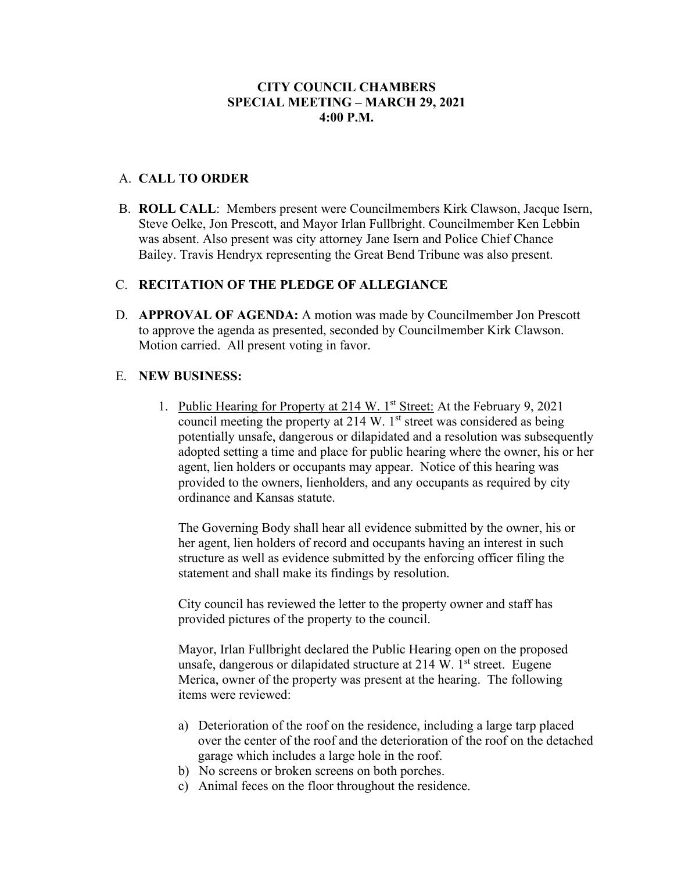## A. **CALL TO ORDER**

B. **ROLL CALL**: Members present were Councilmembers Kirk Clawson, Jacque Isern, Steve Oelke, Jon Prescott, and Mayor Irlan Fullbright. Councilmember Ken Lebbin was absent. Also present was city attorney Jane Isern and Police Chief Chance Bailey. Travis Hendryx representing the Great Bend Tribune was also present.

# C. **RECITATION OF THE PLEDGE OF ALLEGIANCE**

D. **APPROVAL OF AGENDA:** A motion was made by Councilmember Jon Prescott to approve the agenda as presented, seconded by Councilmember Kirk Clawson. Motion carried. All present voting in favor.

#### E. **NEW BUSINESS:**

1. Public Hearing for Property at 214 W. 1<sup>st</sup> Street: At the February 9, 2021 council meeting the property at  $214 \text{ W}$ . 1st street was considered as being potentially unsafe, dangerous or dilapidated and a resolution was subsequently adopted setting a time and place for public hearing where the owner, his or her agent, lien holders or occupants may appear. Notice of this hearing was provided to the owners, lienholders, and any occupants as required by city ordinance and Kansas statute.

The Governing Body shall hear all evidence submitted by the owner, his or her agent, lien holders of record and occupants having an interest in such structure as well as evidence submitted by the enforcing officer filing the statement and shall make its findings by resolution.

City council has reviewed the letter to the property owner and staff has provided pictures of the property to the council.

Mayor, Irlan Fullbright declared the Public Hearing open on the proposed unsafe, dangerous or dilapidated structure at  $214 \text{ W}$ . 1<sup>st</sup> street. Eugene Merica, owner of the property was present at the hearing. The following items were reviewed:

- a) Deterioration of the roof on the residence, including a large tarp placed over the center of the roof and the deterioration of the roof on the detached garage which includes a large hole in the roof.
- b) No screens or broken screens on both porches.
- c) Animal feces on the floor throughout the residence.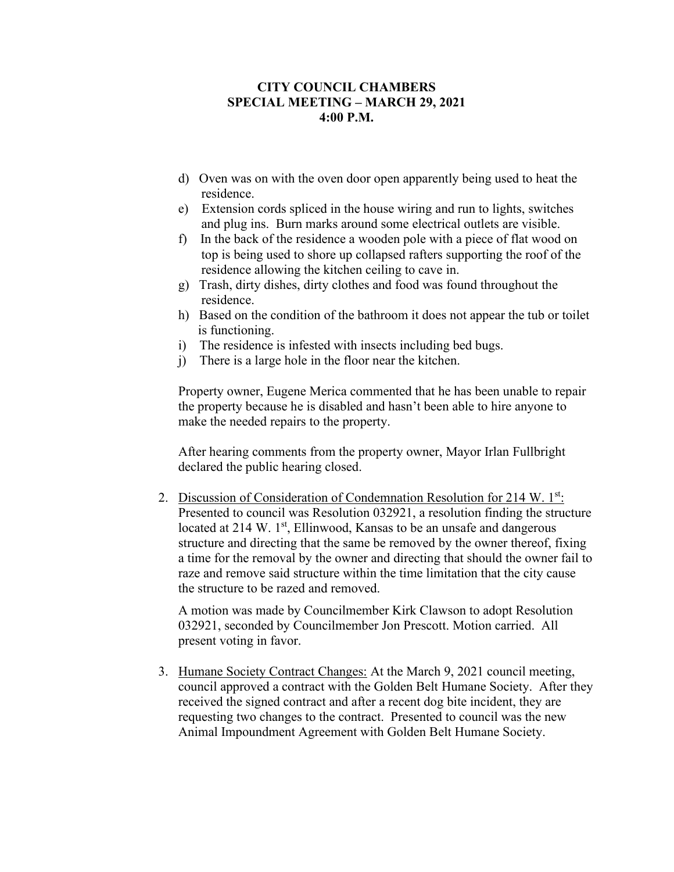- d) Oven was on with the oven door open apparently being used to heat the residence.
- e) Extension cords spliced in the house wiring and run to lights, switches and plug ins. Burn marks around some electrical outlets are visible.
- f) In the back of the residence a wooden pole with a piece of flat wood on top is being used to shore up collapsed rafters supporting the roof of the residence allowing the kitchen ceiling to cave in.
- g) Trash, dirty dishes, dirty clothes and food was found throughout the residence.
- h) Based on the condition of the bathroom it does not appear the tub or toilet is functioning.
- i) The residence is infested with insects including bed bugs.
- j) There is a large hole in the floor near the kitchen.

Property owner, Eugene Merica commented that he has been unable to repair the property because he is disabled and hasn't been able to hire anyone to make the needed repairs to the property.

After hearing comments from the property owner, Mayor Irlan Fullbright declared the public hearing closed.

2. Discussion of Consideration of Condemnation Resolution for 214 W. 1st: Presented to council was Resolution 032921, a resolution finding the structure located at 214 W. 1<sup>st</sup>, Ellinwood, Kansas to be an unsafe and dangerous structure and directing that the same be removed by the owner thereof, fixing a time for the removal by the owner and directing that should the owner fail to raze and remove said structure within the time limitation that the city cause the structure to be razed and removed.

A motion was made by Councilmember Kirk Clawson to adopt Resolution 032921, seconded by Councilmember Jon Prescott. Motion carried. All present voting in favor.

3. Humane Society Contract Changes: At the March 9, 2021 council meeting, council approved a contract with the Golden Belt Humane Society. After they received the signed contract and after a recent dog bite incident, they are requesting two changes to the contract. Presented to council was the new Animal Impoundment Agreement with Golden Belt Humane Society.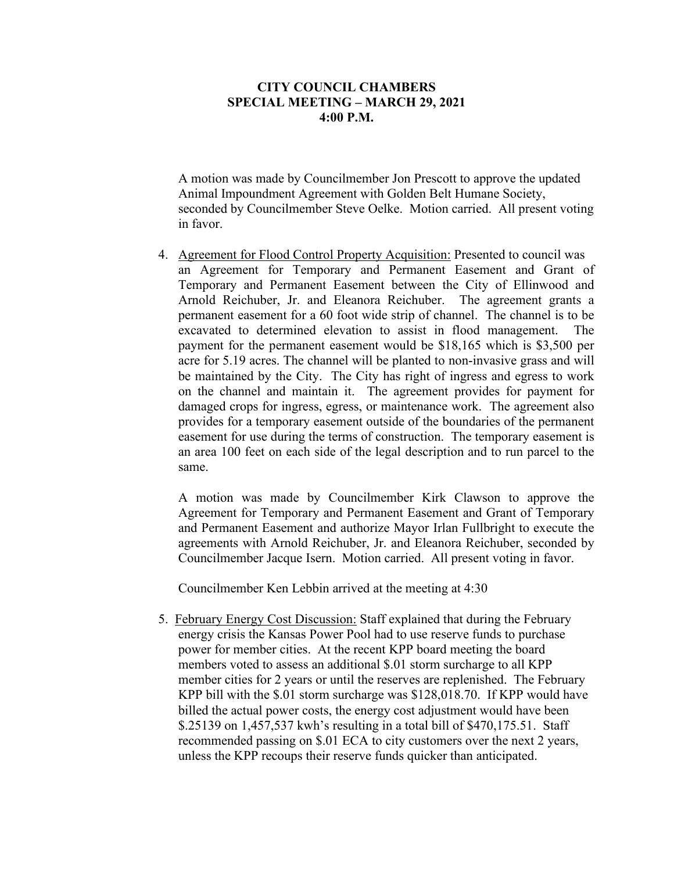A motion was made by Councilmember Jon Prescott to approve the updated Animal Impoundment Agreement with Golden Belt Humane Society, seconded by Councilmember Steve Oelke. Motion carried. All present voting in favor.

4. Agreement for Flood Control Property Acquisition: Presented to council was an Agreement for Temporary and Permanent Easement and Grant of Temporary and Permanent Easement between the City of Ellinwood and Arnold Reichuber, Jr. and Eleanora Reichuber. The agreement grants a permanent easement for a 60 foot wide strip of channel. The channel is to be excavated to determined elevation to assist in flood management. The payment for the permanent easement would be \$18,165 which is \$3,500 per acre for 5.19 acres. The channel will be planted to non-invasive grass and will be maintained by the City. The City has right of ingress and egress to work on the channel and maintain it. The agreement provides for payment for damaged crops for ingress, egress, or maintenance work. The agreement also provides for a temporary easement outside of the boundaries of the permanent easement for use during the terms of construction. The temporary easement is an area 100 feet on each side of the legal description and to run parcel to the same.

A motion was made by Councilmember Kirk Clawson to approve the Agreement for Temporary and Permanent Easement and Grant of Temporary and Permanent Easement and authorize Mayor Irlan Fullbright to execute the agreements with Arnold Reichuber, Jr. and Eleanora Reichuber, seconded by Councilmember Jacque Isern. Motion carried. All present voting in favor.

Councilmember Ken Lebbin arrived at the meeting at 4:30

5. February Energy Cost Discussion: Staff explained that during the February energy crisis the Kansas Power Pool had to use reserve funds to purchase power for member cities. At the recent KPP board meeting the board members voted to assess an additional \$.01 storm surcharge to all KPP member cities for 2 years or until the reserves are replenished. The February KPP bill with the \$.01 storm surcharge was \$128,018.70. If KPP would have billed the actual power costs, the energy cost adjustment would have been \$.25139 on 1,457,537 kwh's resulting in a total bill of \$470,175.51. Staff recommended passing on \$.01 ECA to city customers over the next 2 years, unless the KPP recoups their reserve funds quicker than anticipated.